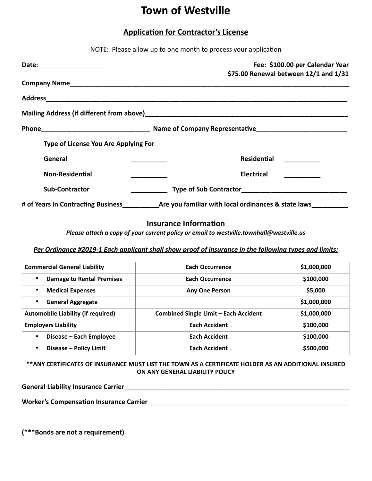## **Town of Westville**

## **Application for Contractor's License**

|                                                                                | NOTE: Please allow up to one month to process your application                                     |  |
|--------------------------------------------------------------------------------|----------------------------------------------------------------------------------------------------|--|
| Date: ________________________                                                 | Fee: \$100.00 per Calendar Year<br>\$75.00 Renewal between 12/1 and 1/31                           |  |
|                                                                                |                                                                                                    |  |
|                                                                                |                                                                                                    |  |
|                                                                                |                                                                                                    |  |
|                                                                                |                                                                                                    |  |
| Type of License You Are Applying For                                           |                                                                                                    |  |
| General                                                                        | Residential                                                                                        |  |
| <b>Non-Residential</b><br><u> 1989 - Johann Barbara, martxa a shekara 1989</u> | <b>Electrical</b>                                                                                  |  |
| <b>Sub-Contractor</b>                                                          |                                                                                                    |  |
|                                                                                | # of Years in Contracting Business_____________Are you familiar with local ordinances & state laws |  |

## **Insurance Information**

*Please attach a copy of your current policy or email to westville.townhall@westville.us* 

*Per Ordinance #2019-1 Each applicant shall show proof of insurance in the following types and limits:*

| <b>Commercial General Liability</b>       | <b>Each Occurrence</b>                       | \$1,000,000 |
|-------------------------------------------|----------------------------------------------|-------------|
| <b>Damage to Rental Premises</b><br>٠     | Each Occurrence                              | \$100,000   |
| <b>Medical Expenses</b><br>$\bullet$      | <b>Any One Person</b>                        | \$5,000     |
| <b>General Aggregate</b><br>$\bullet$     |                                              | \$1,000,000 |
| <b>Automobile Liability (if required)</b> | <b>Combined Single Limit - Each Accident</b> | \$1,000,000 |
| <b>Employers Liability</b>                | <b>Each Accident</b>                         | \$100,000   |
| Disease – Each Employee<br>$\bullet$      | <b>Each Accident</b>                         | \$100,000   |
| Disease - Policy Limit<br>٠               | <b>Each Accident</b>                         | \$500,000   |

**\*\*ANY CERTIFICATES OF INSURANCE MUST LIST THE TOWN AS A CERTIFICATE HOLDER AS AN ADDITIONAL INSURED ON ANY GENERAL LIABILITY POLICY**

| <b>General Liability Insurance Carrier</b> |  |
|--------------------------------------------|--|
|                                            |  |

**Worker's Compensation Insurance Carrier\_\_\_\_\_\_\_\_\_\_\_\_\_\_\_\_\_\_\_\_\_\_\_\_\_\_\_\_\_\_\_\_\_\_\_\_\_\_\_\_\_\_\_\_\_\_\_\_\_\_\_\_\_\_\_**

**(\*\*\*Bonds are not a requirement)**